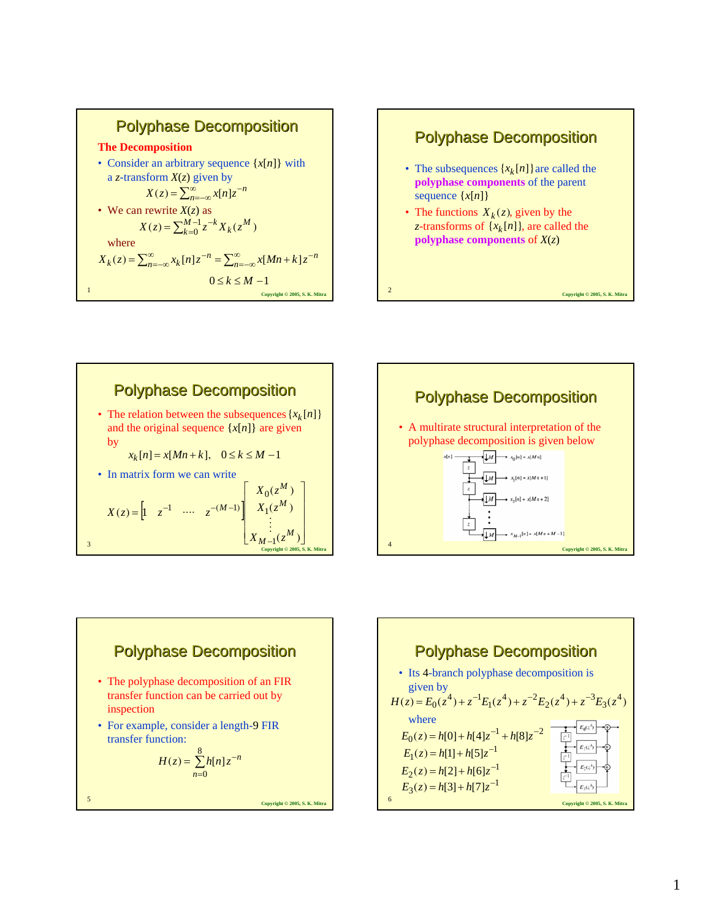









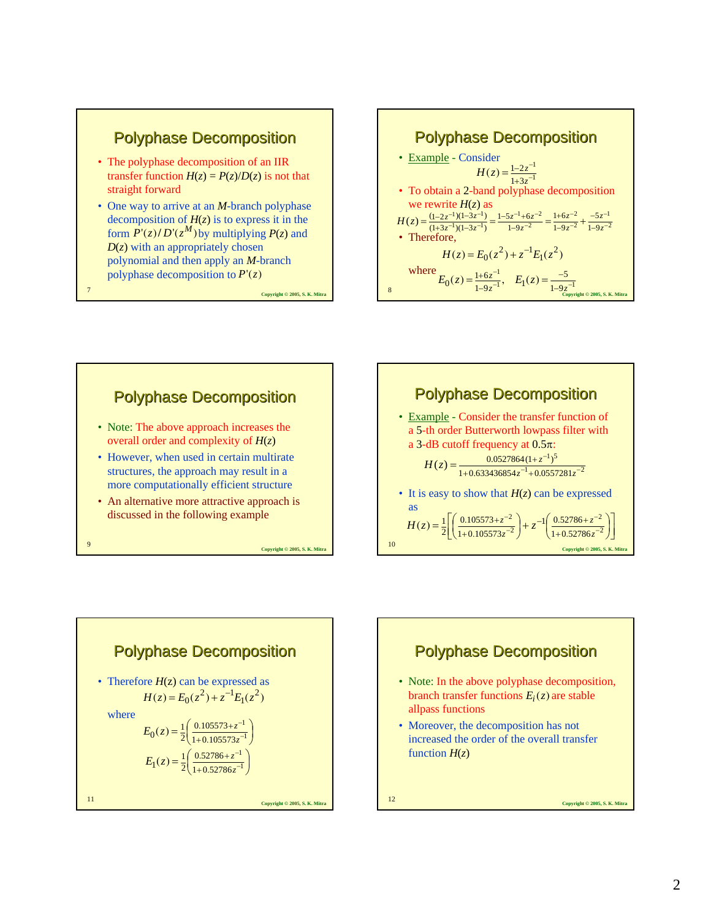

- The polyphase decomposition of an IIR transfer function  $H(z) = P(z)/D(z)$  is not that straight forward
- One way to arrive at an *M*-branch polyphase decomposition of  $H(z)$  is to express it in the form  $\vec{P}(z)/D'(z^M)$  by multiplying  $P(z)$  and  $D(z)$  with an appropriately chosen polynomial and then apply an *M*-branch polyphase decomposition to *P*'(*z*)









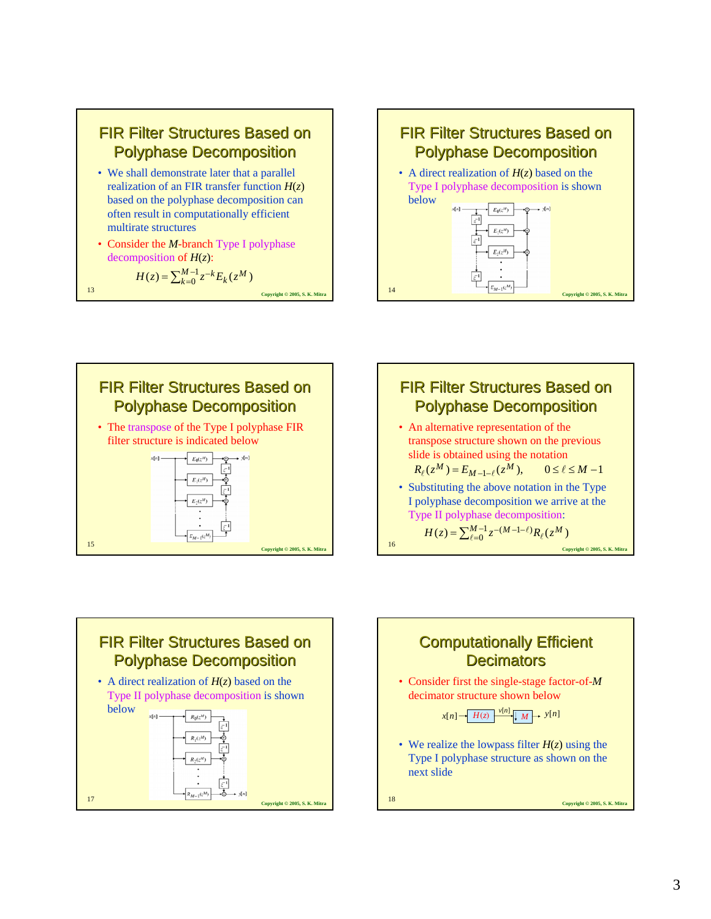

$$
H(z) = \sum_{k=0}^{M-1} z^{-k} E_k(z^M)
$$
  
13  
Coprright 2005, S. K. Mit









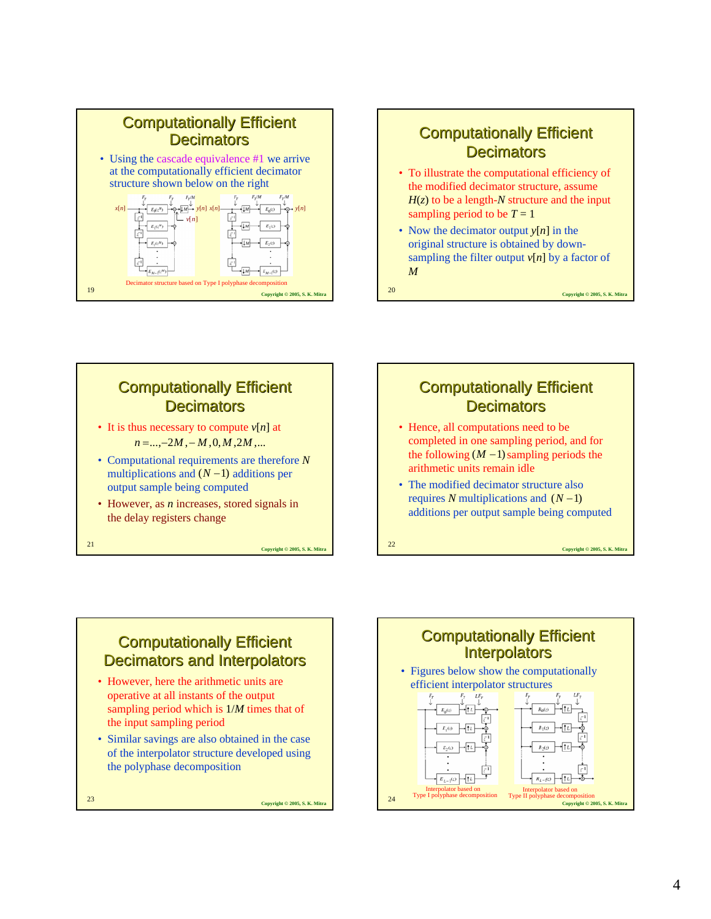

### **Computationally Efficient Decimators**

- To illustrate the computational efficiency of the modified decimator structure, assume  $H(z)$  to be a length-*N* structure and the input sampling period to be  $T = 1$
- Now the decimator output *y*[*n*] in the original structure is obtained by downsampling the filter output  $v[n]$  by a factor of *M*

**Copyright © 2005, S. K. Mitra** <sup>20</sup>

# **Computationally Efficient Decimators**

- It is thus necessary to compute  $v[n]$  at *n* = ..., −2*M* ,−*M* ,0,*M* ,2*M* ,...
- Computational requirements are therefore *N* multiplications and  $(N-1)$  additions per output sample being computed
- However, as *n* increases, stored signals in the delay registers change

**Copyright © 2005, S. K. Mitra** <sup>21</sup>

# **Computationally Efficient Decimators**

- Hence, all computations need to be completed in one sampling period, and for the following  $(M - 1)$  sampling periods the arithmetic units remain idle
- The modified decimator structure also requires *N* multiplications and (*N* −1) additions per output sample being computed

**Copyright © 2005, S. K. Mitra** <sup>22</sup>

# **Computationally Efficient** Decimators and Interpolators

- However, here the arithmetic units are operative at all instants of the output sampling period which is 1/*M* times that of the input sampling period
- Similar savings are also obtained in the case of the interpolator structure developed using the polyphase decomposition

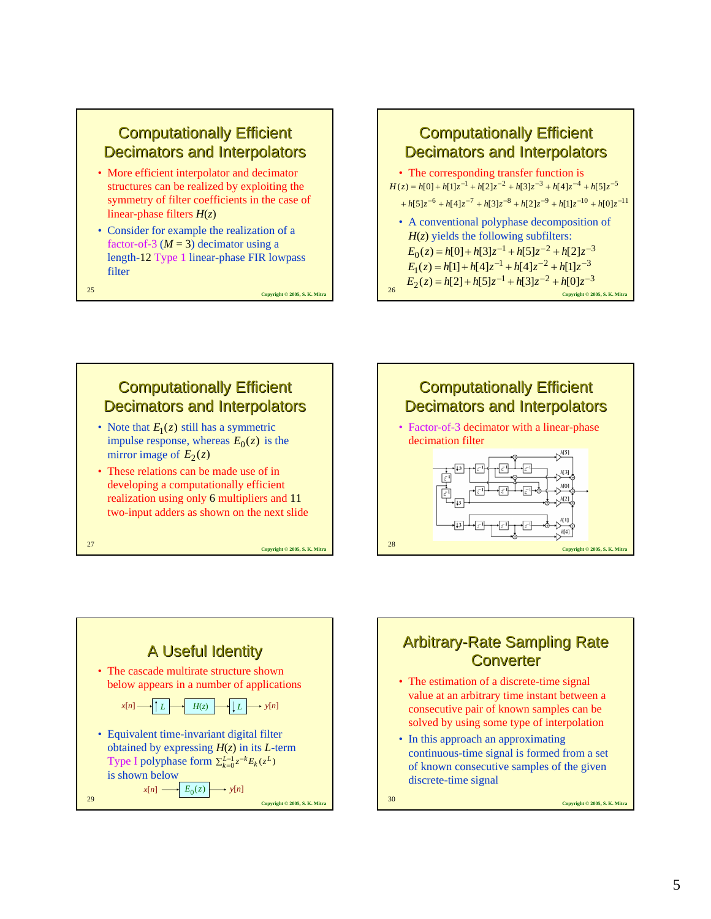#### **Computationally Efficient** Decimators and Interpolators

- More efficient interpolator and decimator structures can be realized by exploiting the symmetry of filter coefficients in the case of linear-phase filters *H*(*z*)
- Consider for example the realization of a factor-of-3  $(M = 3)$  decimator using a length-12 Type 1 linear-phase FIR lowpass filter

**Copyright © 2005, S. K. Mitra** <sup>25</sup>



# **Computationally Efficient Decimators and Interpolators**

- Note that  $E_1(z)$  still has a symmetric impulse response, whereas  $E_0(z)$  is the mirror image of  $E_2(z)$
- These relations can be made use of in developing a computationally efficient realization using only 6 multipliers and 11 two-input adders as shown on the next slide

**Copyright © 2005, S. K. Mitra** <sup>27</sup>



**Converted Copyright © 2005, S. K. Mitrab 2005, S. K. Mitrab 2005, S. K. Mitrab 2005, S. K. Mitrab 2005, S. K. Mitrab 2005, S. K. Mitrab 2005, S. K. Mitrab 2005, S. K. Mitrab 2005, S. K. Mitrab 2005, S. K. Mitrab 2005, S.** • Equivalent time-invariant digital filter obtained by expressing *H*(*z*) in its *L*-term Type I polyphase form  $\sum_{k=0}^{L-1} z^{-k} E_k(z^L)$ is shown below  $x[n] \longrightarrow E_0(z) \longrightarrow y[n]$ 



# **Arbitrary-Rate Sampling Rate** Converter

- The estimation of a discrete-time signal value at an arbitrary time instant between a consecutive pair of known samples can be solved by using some type of interpolation
- In this approach an approximating continuous-time signal is formed from a set of known consecutive samples of the given discrete-time signal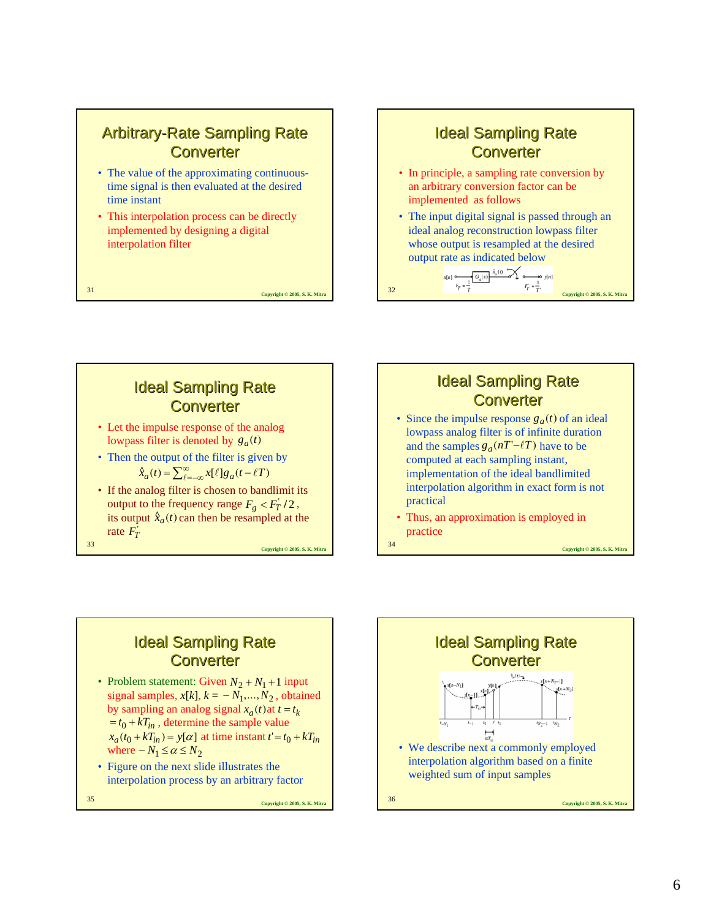# Arbitrary-Rate Sampling Rate **Converter**

- The value of the approximating continuoustime signal is then evaluated at the desired time instant
- This interpolation process can be directly implemented by designing a digital interpolation filter

**Copyright © 2005, S. K. Mitra** <sup>31</sup>

#### **Ideal Sampling Rate Converter**

- In principle, a sampling rate conversion by an arbitrary conversion factor can be implemented as follows
- The input digital signal is passed through an ideal analog reconstruction lowpass filter whose output is resampled at the desired output rate as indicated below

**Copyright © 2005, S. K. Mitrab 32005, S. K. Mitrab 32005, S. K. Mitrab 32005, S. K. Mitrab 32005, S. K. Mitrab 32005, S. K. Mitrab 32005, S. K. Mitrab 32005, S. K. Mitrab 32005, S. K. Mitrab 32005, S. K. Mitrab 32005, S.** 



**Ideal Sampling Rate Converter** 

• Since the impulse response  $g_a(t)$  of an ideal lowpass analog filter is of infinite duration and the samples  $g_a(nT' - \ell T)$  have to be computed at each sampling instant, implementation of the ideal bandlimited interpolation algorithm in exact form is not practical

**Copyright © 2005, S. K. Mitra** <sup>34</sup>

• Thus, an approximation is employed in practice

### **Ideal Sampling Rate Converter**

**Copyright © 2005, S. K. Mitra** <sup>33</sup>

- Problem statement: Given  $N_2 + N_1 + 1$  input signal samples,  $x[k], k = -N_1, ..., N_2$ , obtained by sampling an analog signal  $x_a(t)$  at  $t = t_k$  $= t_0 + kT_{in}$ , determine the sample value  $x_a(t_0 + kT_{in}) = y[\alpha]$  at time instant  $t' = t_0 + kT_{in}$ where  $-N_1 \le \alpha \le N_2$
- Figure on the next slide illustrates the interpolation process by an arbitrary factor

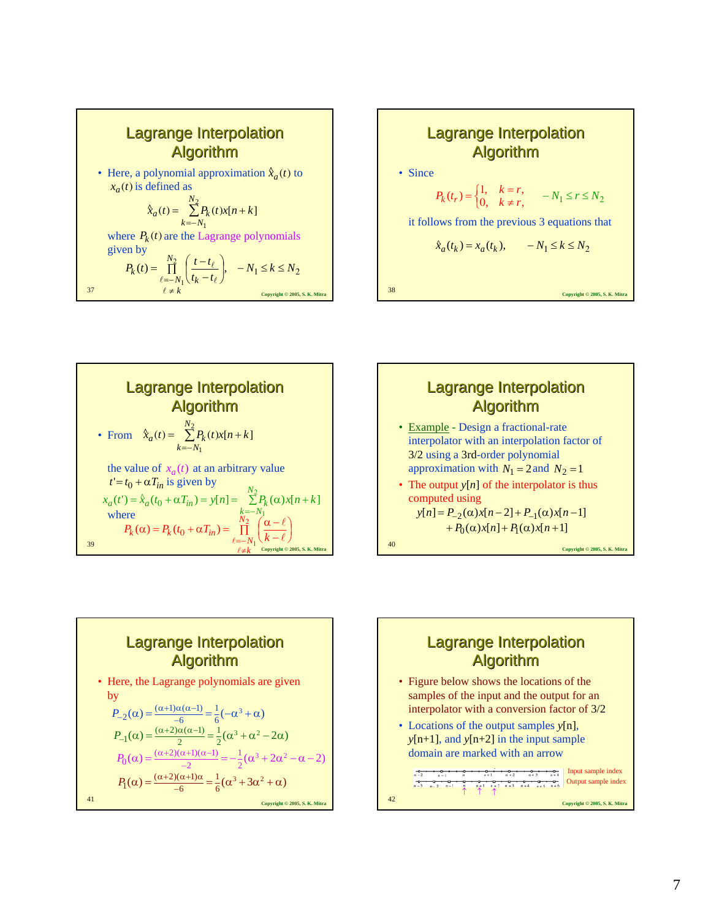









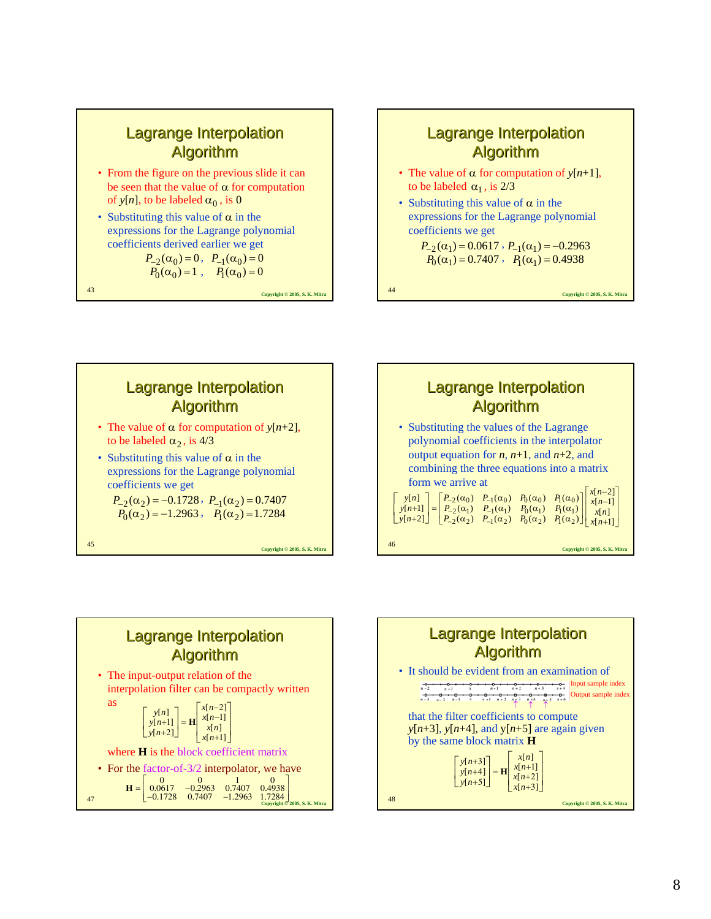#### Lagrange Interpolation Algorithm

- From the figure on the previous slide it can be seen that the value of  $\alpha$  for computation of  $y[n]$ , to be labeled  $\alpha_0$ , is 0
- Substituting this value of  $\alpha$  in the expressions for the Lagrange polynomial coefficients derived earlier we get

$$
\begin{array}{ll} P_{-2}(\alpha_0) = 0, & P_{-1}(\alpha_0) = 0 \\ P_0(\alpha_0) = 1, & P_1(\alpha_0) = 0 \end{array}
$$

**Copyright © 2005, S. K. Mitra** <sup>43</sup>



$$
P_{-2}(\alpha_1) = 0.0617 , P_{-1}(\alpha_1) = -0.2963
$$
  

$$
P_0(\alpha_1) = 0.7407 , P_1(\alpha_1) = 0.4938
$$







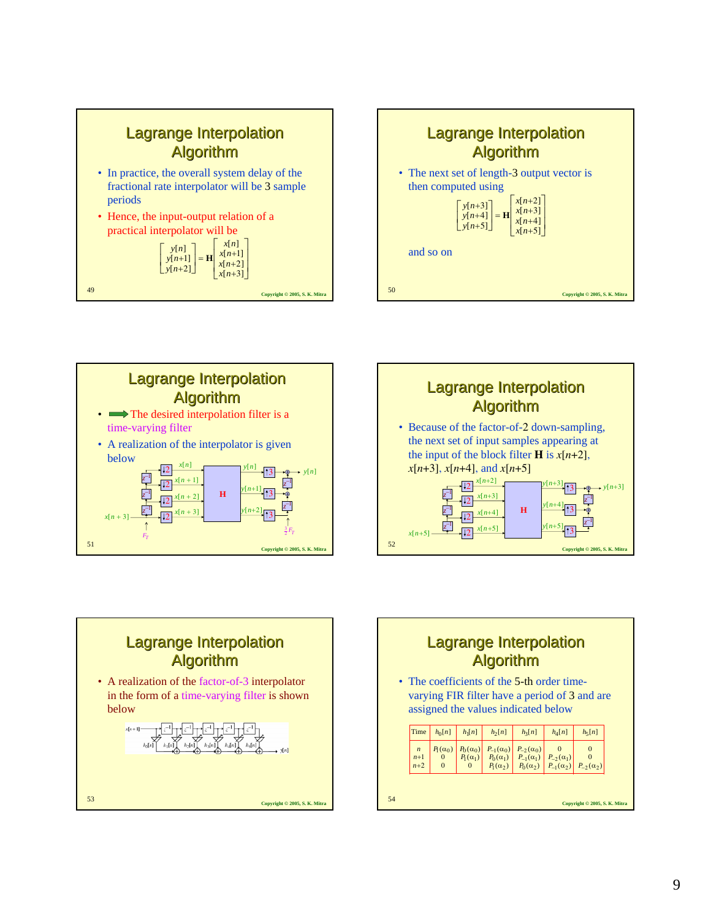









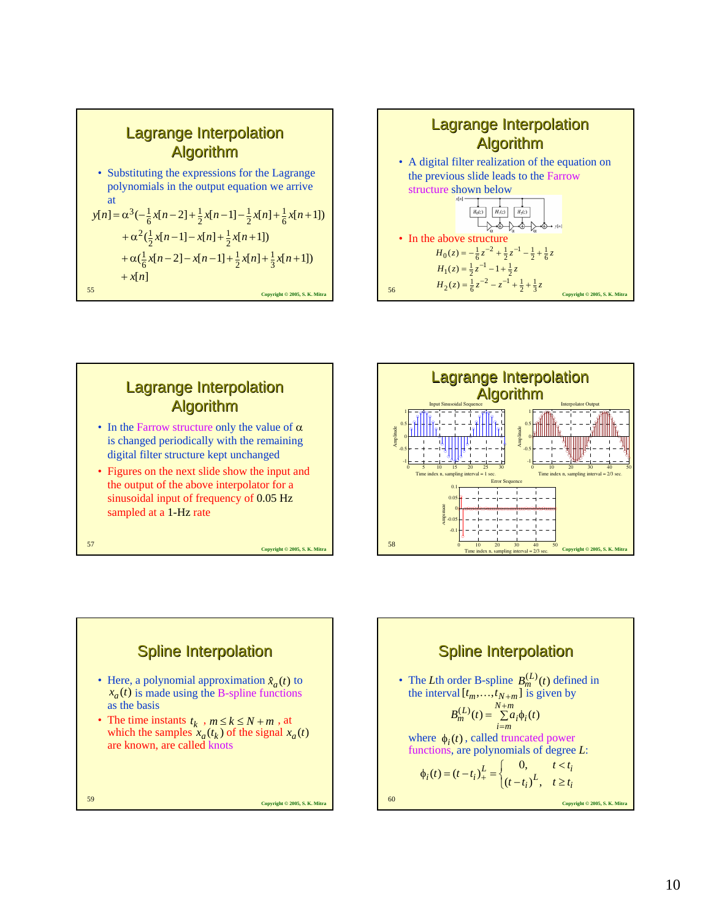









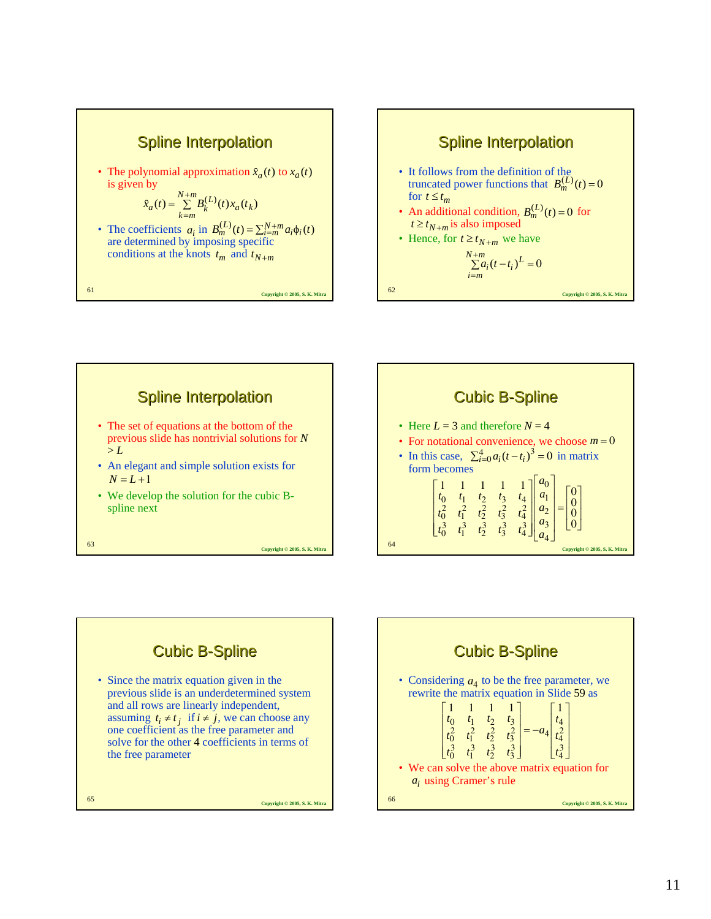







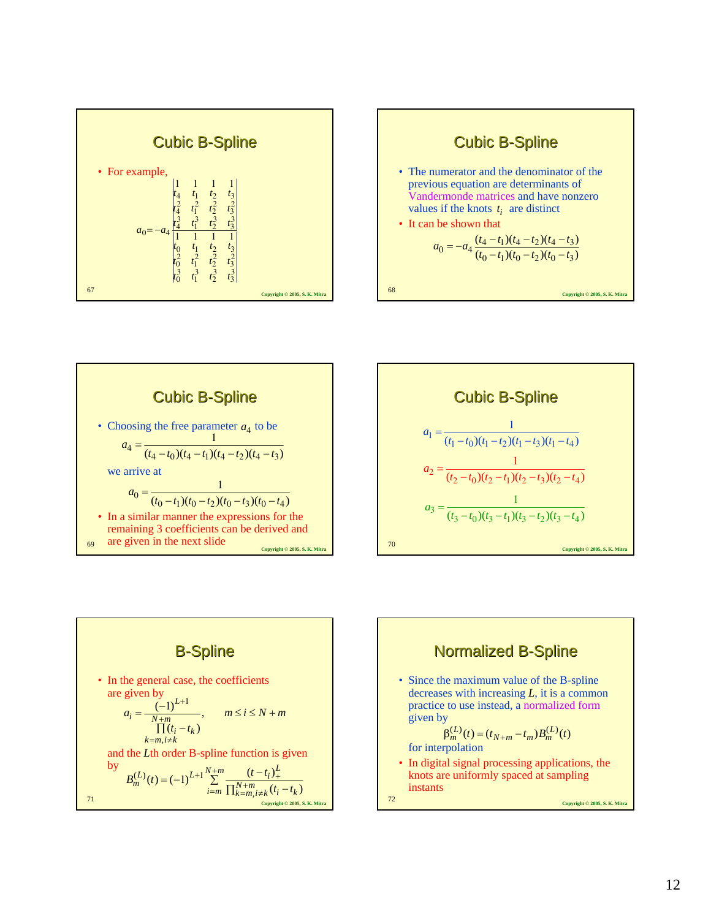





**Cubic B-Spline**  
\n
$$
a_1 = \frac{1}{(t_1 - t_0)(t_1 - t_2)(t_1 - t_3)(t_1 - t_4)}
$$
\n
$$
a_2 = \frac{1}{(t_2 - t_0)(t_2 - t_1)(t_2 - t_3)(t_2 - t_4)}
$$
\n
$$
a_3 = \frac{1}{(t_3 - t_0)(t_3 - t_1)(t_3 - t_2)(t_3 - t_4)}
$$
\n
$$
a_{\text{coprifghl 0 2005, S. K. Mifra}}
$$
\n
$$
a_{\text{coprifghl 0 2005, S. K. Mifra}}
$$



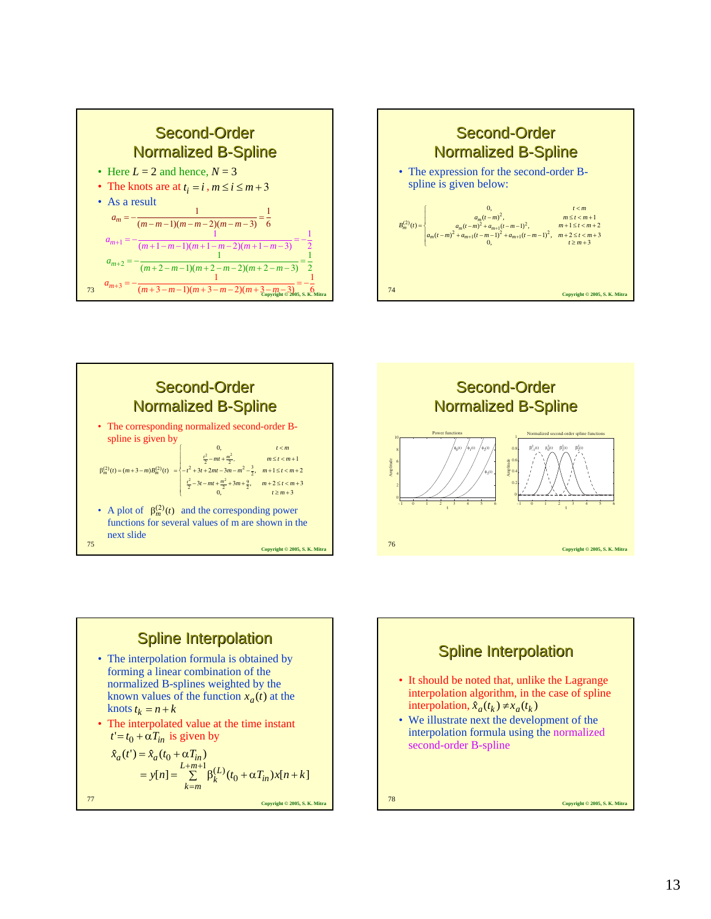









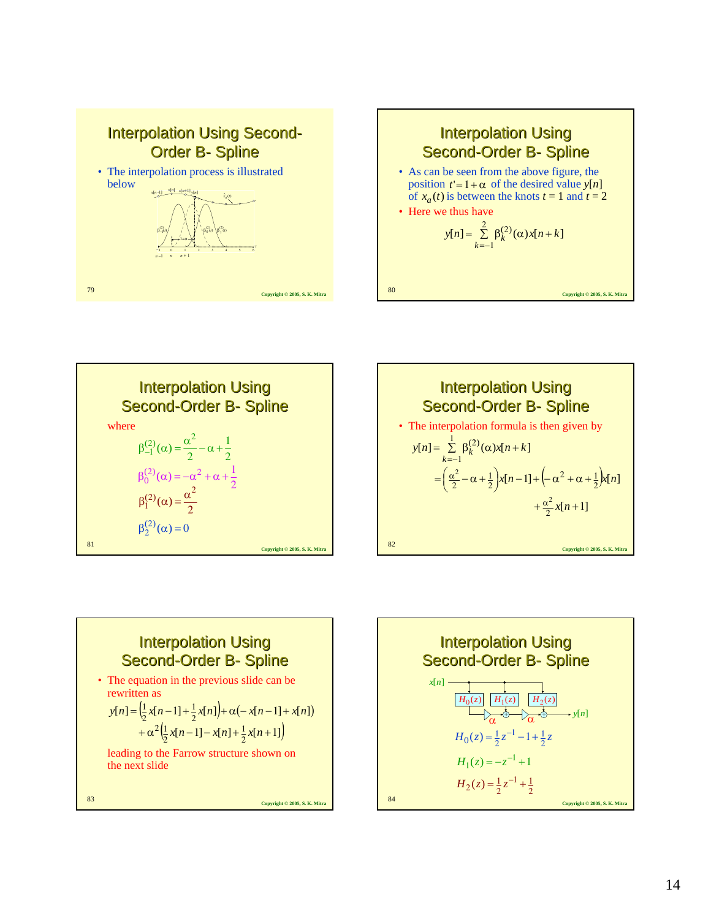